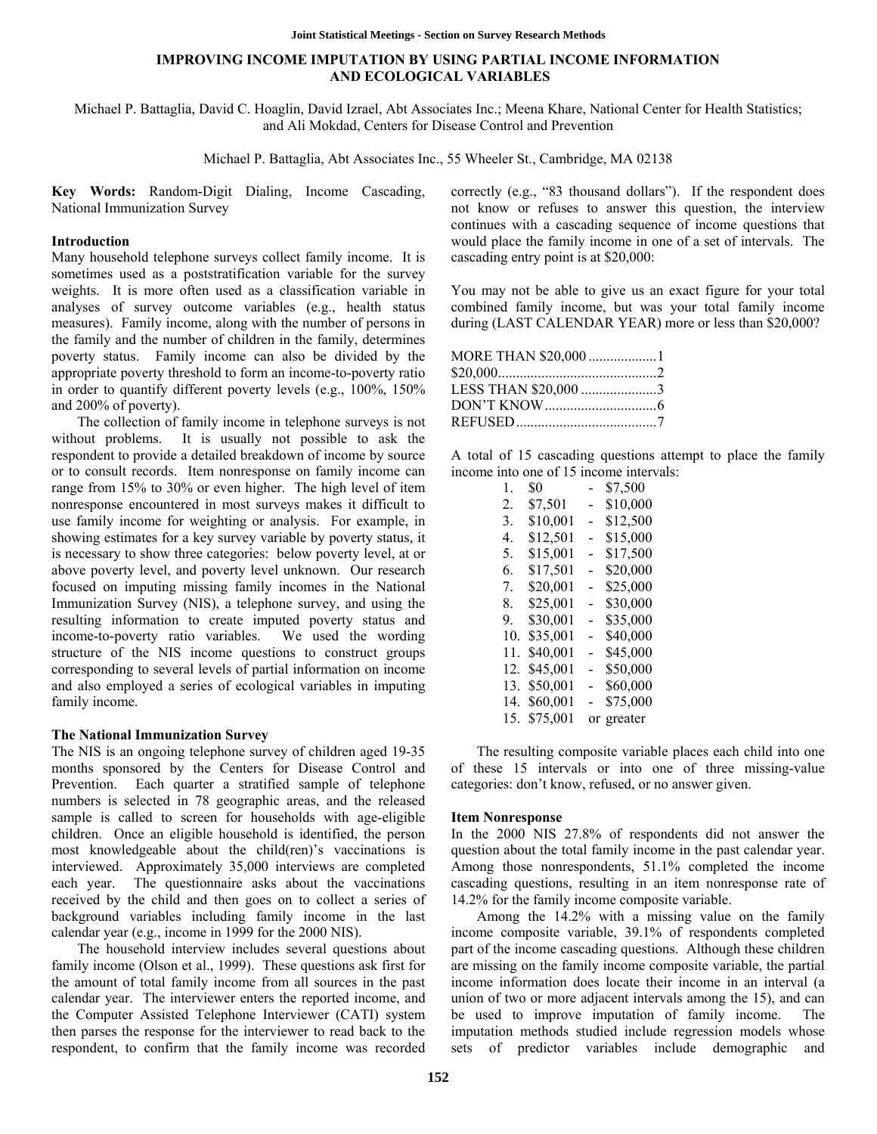# **IMPROVING INCOME IMPUTATION BY USING PARTIAL INCOME INFORMATION AND ECOLOGICAL VARIABLES**

Michael P. Battaglia, David C. Hoaglin, David Izrael, Abt Associates Inc.; Meena Khare, National Center for Health Statistics; and Ali Mokdad, Centers for Disease Control and Prevention

Michael P. Battaglia, Abt Associates Inc., 55 Wheeler St., Cambridge, MA 02138

**Key Words:** Random-Digit Dialing, Income Cascading, National Immunization Survey

#### **Introduction**

Many household telephone surveys collect family income. It is sometimes used as a poststratification variable for the survey weights. It is more often used as a classification variable in analyses of survey outcome variables (e.g., health status measures). Family income, along with the number of persons in the family and the number of children in the family, determines poverty status. Family income can also be divided by the appropriate poverty threshold to form an income-to-poverty ratio in order to quantify different poverty levels (e.g., 100%, 150% and 200% of poverty).

The collection of family income in telephone surveys is not without problems. It is usually not possible to ask the respondent to provide a detailed breakdown of income by source or to consult records. Item nonresponse on family income can range from 15% to 30% or even higher. The high level of item nonresponse encountered in most surveys makes it difficult to use family income for weighting or analysis. For example, in showing estimates for a key survey variable by poverty status, it is necessary to show three categories: below poverty level, at or above poverty level, and poverty level unknown. Our research focused on imputing missing family incomes in the National Immunization Survey (NIS), a telephone survey, and using the resulting information to create imputed poverty status and income-to-poverty ratio variables. We used the wording structure of the NIS income questions to construct groups corresponding to several levels of partial information on income and also employed a series of ecological variables in imputing family income.

#### **The National Immunization Survey**

The NIS is an ongoing telephone survey of children aged 19-35 months sponsored by the Centers for Disease Control and Prevention. Each quarter a stratified sample of telephone numbers is selected in 78 geographic areas, and the released sample is called to screen for households with age-eligible children. Once an eligible household is identified, the person most knowledgeable about the child(ren)'s vaccinations is interviewed. Approximately 35,000 interviews are completed each year. The questionnaire asks about the vaccinations received by the child and then goes on to collect a series of background variables including family income in the last calendar year (e.g., income in 1999 for the 2000 NIS).

The household interview includes several questions about family income (Olson et al., 1999). These questions ask first for the amount of total family income from all sources in the past calendar year. The interviewer enters the reported income, and the Computer Assisted Telephone Interviewer (CATI) system then parses the response for the interviewer to read back to the respondent, to confirm that the family income was recorded correctly (e.g., "83 thousand dollars"). If the respondent does not know or refuses to answer this question, the interview continues with a cascading sequence of income questions that would place the family income in one of a set of intervals. The cascading entry point is at \$20,000:

You may not be able to give us an exact figure for your total combined family income, but was your total family income during (LAST CALENDAR YEAR) more or less than \$20,000?

| MORE THAN \$20,000 1 |  |
|----------------------|--|
|                      |  |
| LESS THAN \$20,000 3 |  |
|                      |  |
|                      |  |

A total of 15 cascading questions attempt to place the family income into one of 15 income intervals:

| 1.  | \$0      |   | \$7,500    |
|-----|----------|---|------------|
| 2.  | \$7,501  |   | \$10,000   |
| 3.  | \$10,001 | - | \$12,500   |
| 4   | \$12,501 |   | \$15,000   |
| 5.  | \$15,001 | - | \$17,500   |
| 6.  | \$17,501 |   | \$20,000   |
| 7.  | \$20,001 | - | \$25,000   |
| 8.  | \$25,001 |   | \$30,000   |
| 9.  | \$30,001 |   | \$35,000   |
| 10. | \$35,001 |   | \$40,000   |
| 11. | \$40,001 |   | \$45,000   |
| 12. | \$45,001 |   | \$50,000   |
| 13. | \$50,001 |   | \$60,000   |
| 14. | \$60,001 |   | \$75,000   |
| 15. | \$75,001 |   | or greater |

The resulting composite variable places each child into one of these 15 intervals or into one of three missing-value categories: don't know, refused, or no answer given.

## **Item Nonresponse**

In the 2000 NIS 27.8% of respondents did not answer the question about the total family income in the past calendar year. Among those nonrespondents, 51.1% completed the income cascading questions, resulting in an item nonresponse rate of 14.2% for the family income composite variable.

Among the 14.2% with a missing value on the family income composite variable, 39.1% of respondents completed part of the income cascading questions. Although these children are missing on the family income composite variable, the partial income information does locate their income in an interval (a union of two or more adjacent intervals among the 15), and can be used to improve imputation of family income. The imputation methods studied include regression models whose sets of predictor variables include demographic and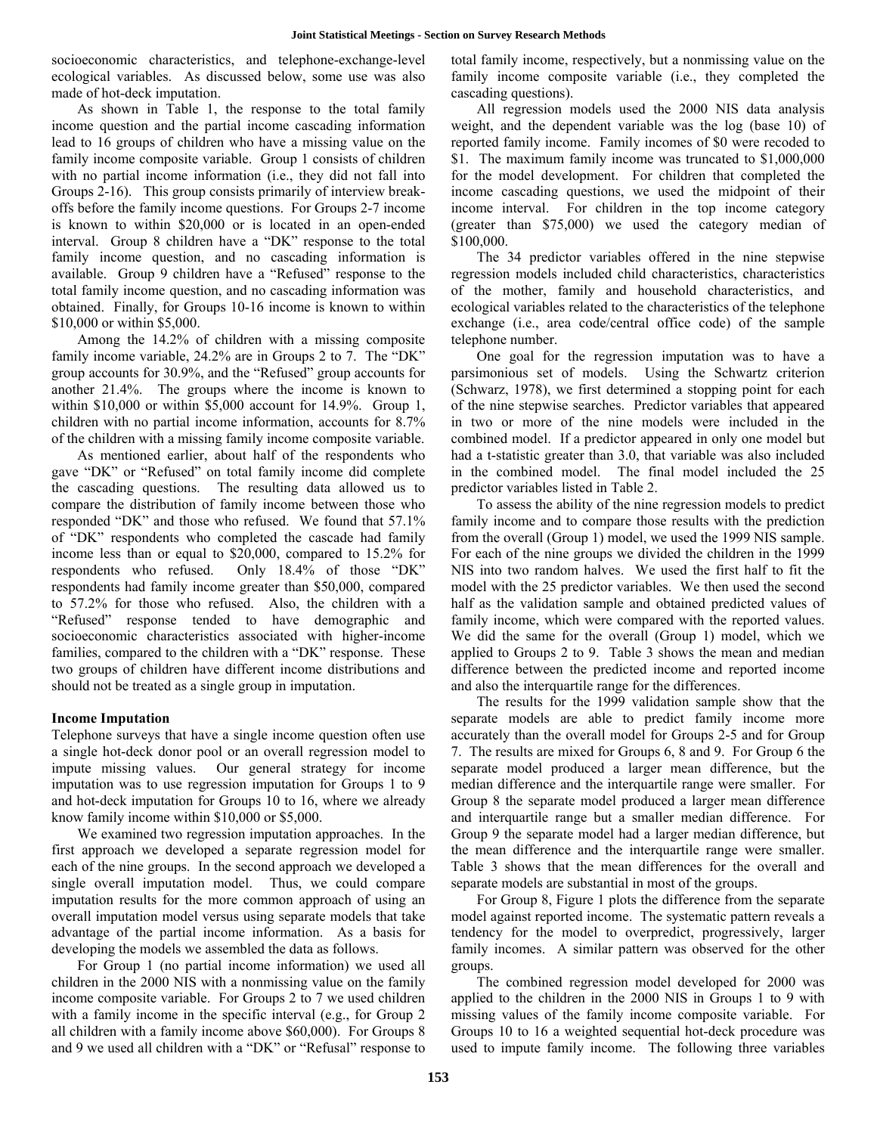socioeconomic characteristics, and telephone-exchange-level ecological variables. As discussed below, some use was also made of hot-deck imputation.

As shown in Table 1, the response to the total family income question and the partial income cascading information lead to 16 groups of children who have a missing value on the family income composite variable. Group 1 consists of children with no partial income information (i.e., they did not fall into Groups 2-16). This group consists primarily of interview breakoffs before the family income questions. For Groups 2-7 income is known to within \$20,000 or is located in an open-ended interval. Group 8 children have a "DK" response to the total family income question, and no cascading information is available. Group 9 children have a "Refused" response to the total family income question, and no cascading information was obtained. Finally, for Groups 10-16 income is known to within \$10,000 or within \$5,000.

Among the 14.2% of children with a missing composite family income variable, 24.2% are in Groups 2 to 7. The "DK" group accounts for 30.9%, and the "Refused" group accounts for another 21.4%. The groups where the income is known to within \$10,000 or within \$5,000 account for 14.9%. Group 1, children with no partial income information, accounts for 8.7% of the children with a missing family income composite variable.

As mentioned earlier, about half of the respondents who gave "DK" or "Refused" on total family income did complete the cascading questions. The resulting data allowed us to compare the distribution of family income between those who responded "DK" and those who refused. We found that 57.1% of "DK" respondents who completed the cascade had family income less than or equal to \$20,000, compared to 15.2% for respondents who refused. Only 18.4% of those "DK" respondents had family income greater than \$50,000, compared to 57.2% for those who refused. Also, the children with a "Refused" response tended to have demographic and socioeconomic characteristics associated with higher-income families, compared to the children with a "DK" response. These two groups of children have different income distributions and should not be treated as a single group in imputation.

## **Income Imputation**

Telephone surveys that have a single income question often use a single hot-deck donor pool or an overall regression model to impute missing values. Our general strategy for income imputation was to use regression imputation for Groups 1 to 9 and hot-deck imputation for Groups 10 to 16, where we already know family income within \$10,000 or \$5,000.

We examined two regression imputation approaches. In the first approach we developed a separate regression model for each of the nine groups. In the second approach we developed a single overall imputation model. Thus, we could compare imputation results for the more common approach of using an overall imputation model versus using separate models that take advantage of the partial income information. As a basis for developing the models we assembled the data as follows.

For Group 1 (no partial income information) we used all children in the 2000 NIS with a nonmissing value on the family income composite variable. For Groups 2 to 7 we used children with a family income in the specific interval (e.g., for Group 2 all children with a family income above \$60,000). For Groups 8 and 9 we used all children with a "DK" or "Refusal" response to

total family income, respectively, but a nonmissing value on the family income composite variable (i.e., they completed the cascading questions).

All regression models used the 2000 NIS data analysis weight, and the dependent variable was the log (base 10) of reported family income. Family incomes of \$0 were recoded to \$1. The maximum family income was truncated to \$1,000,000 for the model development. For children that completed the income cascading questions, we used the midpoint of their income interval. For children in the top income category (greater than \$75,000) we used the category median of \$100,000.

The 34 predictor variables offered in the nine stepwise regression models included child characteristics, characteristics of the mother, family and household characteristics, and ecological variables related to the characteristics of the telephone exchange (i.e., area code/central office code) of the sample telephone number.

One goal for the regression imputation was to have a parsimonious set of models. Using the Schwartz criterion (Schwarz, 1978), we first determined a stopping point for each of the nine stepwise searches. Predictor variables that appeared in two or more of the nine models were included in the combined model. If a predictor appeared in only one model but had a t-statistic greater than 3.0, that variable was also included in the combined model. The final model included the 25 predictor variables listed in Table 2.

To assess the ability of the nine regression models to predict family income and to compare those results with the prediction from the overall (Group 1) model, we used the 1999 NIS sample. For each of the nine groups we divided the children in the 1999 NIS into two random halves. We used the first half to fit the model with the 25 predictor variables. We then used the second half as the validation sample and obtained predicted values of family income, which were compared with the reported values. We did the same for the overall (Group 1) model, which we applied to Groups 2 to 9. Table 3 shows the mean and median difference between the predicted income and reported income and also the interquartile range for the differences.

The results for the 1999 validation sample show that the separate models are able to predict family income more accurately than the overall model for Groups 2-5 and for Group 7. The results are mixed for Groups 6, 8 and 9. For Group 6 the separate model produced a larger mean difference, but the median difference and the interquartile range were smaller. For Group 8 the separate model produced a larger mean difference and interquartile range but a smaller median difference. For Group 9 the separate model had a larger median difference, but the mean difference and the interquartile range were smaller. Table 3 shows that the mean differences for the overall and separate models are substantial in most of the groups.

For Group 8, Figure 1 plots the difference from the separate model against reported income. The systematic pattern reveals a tendency for the model to overpredict, progressively, larger family incomes. A similar pattern was observed for the other groups.

The combined regression model developed for 2000 was applied to the children in the 2000 NIS in Groups 1 to 9 with missing values of the family income composite variable. For Groups 10 to 16 a weighted sequential hot-deck procedure was used to impute family income. The following three variables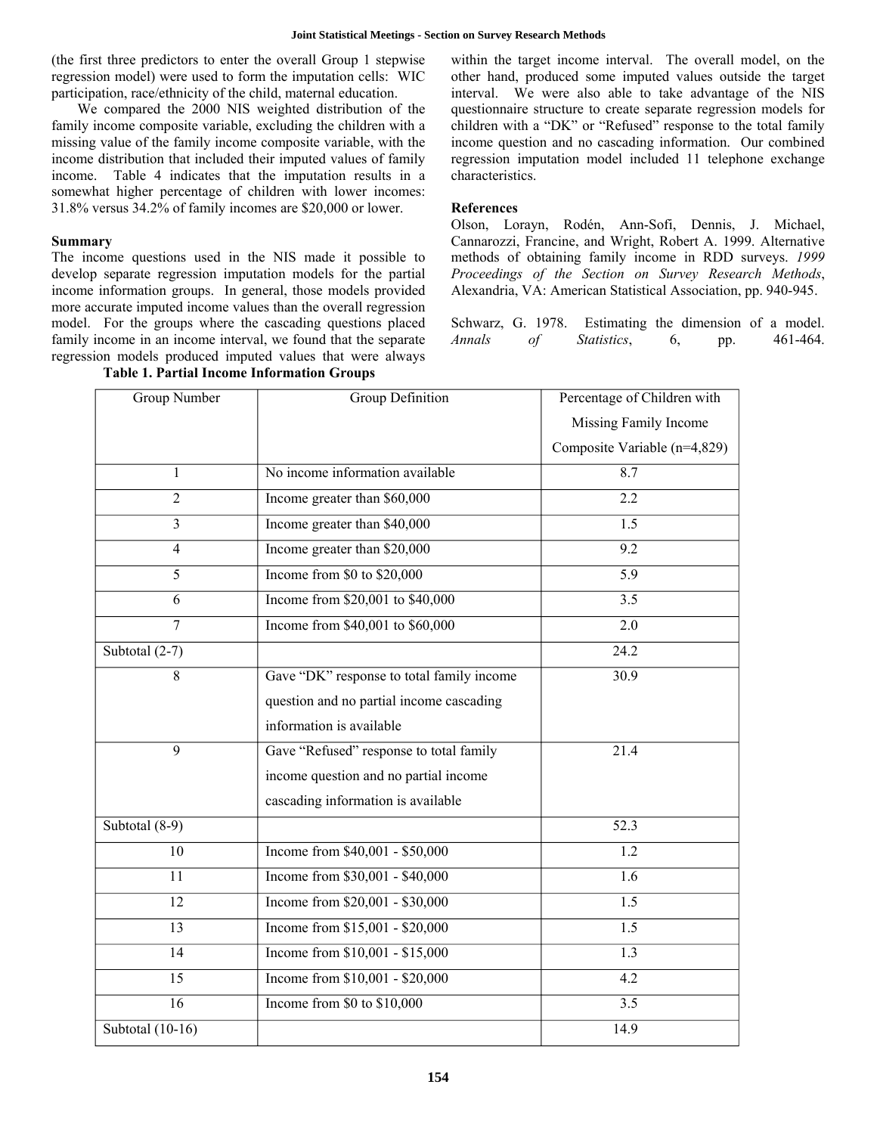(the first three predictors to enter the overall Group 1 stepwise regression model) were used to form the imputation cells: WIC participation, race/ethnicity of the child, maternal education.

We compared the 2000 NIS weighted distribution of the family income composite variable, excluding the children with a missing value of the family income composite variable, with the income distribution that included their imputed values of family income. Table 4 indicates that the imputation results in a somewhat higher percentage of children with lower incomes: 31.8% versus 34.2% of family incomes are \$20,000 or lower.

## **Summary**

The income questions used in the NIS made it possible to develop separate regression imputation models for the partial income information groups. In general, those models provided more accurate imputed income values than the overall regression model. For the groups where the cascading questions placed family income in an income interval, we found that the separate regression models produced imputed values that were always within the target income interval. The overall model, on the other hand, produced some imputed values outside the target interval. We were also able to take advantage of the NIS questionnaire structure to create separate regression models for children with a "DK" or "Refused" response to the total family income question and no cascading information. Our combined regression imputation model included 11 telephone exchange characteristics.

## **References**

Olson, Lorayn, Rodén, Ann-Sofi, Dennis, J. Michael, Cannarozzi, Francine, and Wright, Robert A. 1999. Alternative methods of obtaining family income in RDD surveys. *1999 Proceedings of the Section on Survey Research Methods*, Alexandria, VA: American Statistical Association, pp. 940-945.

Schwarz, G. 1978. Estimating the dimension of a model. *Annals of Statistics*, 6, pp. 461-464.

| <b>Group Number</b> | <b>Group Definition</b>                   | Percentage of Children with  |  |
|---------------------|-------------------------------------------|------------------------------|--|
|                     |                                           | Missing Family Income        |  |
|                     |                                           | Composite Variable (n=4,829) |  |
| 1                   | No income information available           | 8.7                          |  |
| $\overline{2}$      | Income greater than \$60,000              | 2.2                          |  |
| 3                   | Income greater than \$40,000              | 1.5                          |  |
| $\overline{4}$      | Income greater than \$20,000              | 9.2                          |  |
| $\overline{5}$      | Income from $$0$ to $$20,000$             | 5.9                          |  |
| 6                   | Income from \$20,001 to \$40,000          | 3.5                          |  |
| $\overline{7}$      | Income from \$40,001 to \$60,000          | 2.0                          |  |
| Subtotal (2-7)      |                                           | 24.2                         |  |
| 8                   | Gave "DK" response to total family income | 30.9                         |  |
|                     | question and no partial income cascading  |                              |  |
|                     | information is available                  |                              |  |
| 9                   | Gave "Refused" response to total family   | 21.4                         |  |
|                     | income question and no partial income     |                              |  |
|                     | cascading information is available        |                              |  |
| Subtotal (8-9)      |                                           | $\overline{52.3}$            |  |
| 10                  | Income from \$40,001 - \$50,000           | 1.2                          |  |
| 11                  | Income from \$30,001 - \$40,000           | 1.6                          |  |
| 12                  | Income from \$20,001 - \$30,000           | 1.5                          |  |
| 13                  | Income from \$15,001 - \$20,000           | 1.5                          |  |
| 14                  | Income from \$10,001 - \$15,000           | 1.3                          |  |
| $\overline{15}$     | Income from \$10,001 - \$20,000           | 4.2                          |  |
| 16                  | Income from \$0 to \$10,000               | 3.5                          |  |
| Subtotal (10-16)    |                                           | 14.9                         |  |

# **Table 1. Partial Income Information Groups**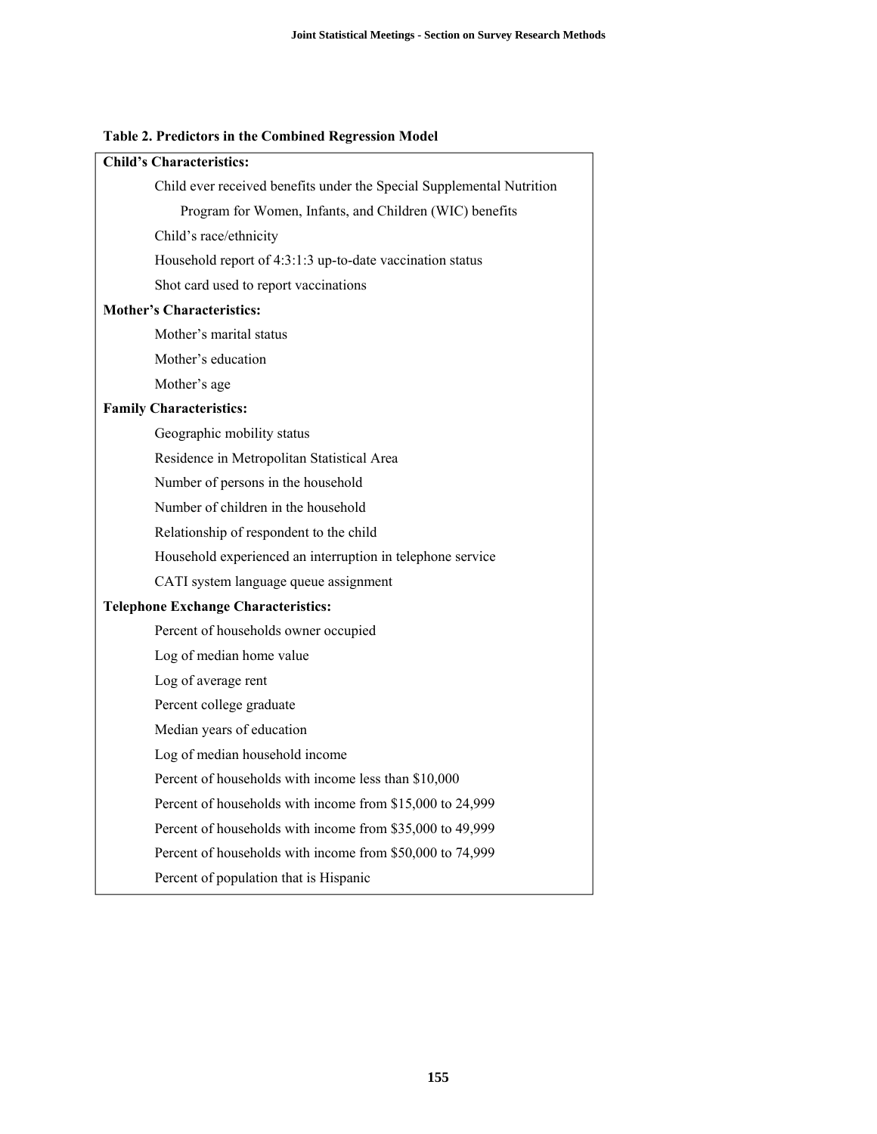# **Table 2. Predictors in the Combined Regression Model**

| <b>Child's Characteristics:</b>                                       |
|-----------------------------------------------------------------------|
| Child ever received benefits under the Special Supplemental Nutrition |
| Program for Women, Infants, and Children (WIC) benefits               |
| Child's race/ethnicity                                                |
| Household report of 4:3:1:3 up-to-date vaccination status             |
| Shot card used to report vaccinations                                 |
| <b>Mother's Characteristics:</b>                                      |
| Mother's marital status                                               |
| Mother's education                                                    |
| Mother's age                                                          |
| <b>Family Characteristics:</b>                                        |
| Geographic mobility status                                            |
| Residence in Metropolitan Statistical Area                            |
| Number of persons in the household                                    |
| Number of children in the household                                   |
| Relationship of respondent to the child                               |
| Household experienced an interruption in telephone service            |
| CATI system language queue assignment                                 |
| <b>Telephone Exchange Characteristics:</b>                            |
| Percent of households owner occupied                                  |
| Log of median home value                                              |
| Log of average rent                                                   |
| Percent college graduate                                              |
| Median years of education                                             |
| Log of median household income                                        |
| Percent of households with income less than \$10,000                  |
| Percent of households with income from \$15,000 to 24,999             |
| Percent of households with income from \$35,000 to 49,999             |
| Percent of households with income from \$50,000 to 74,999             |
| Percent of population that is Hispanic                                |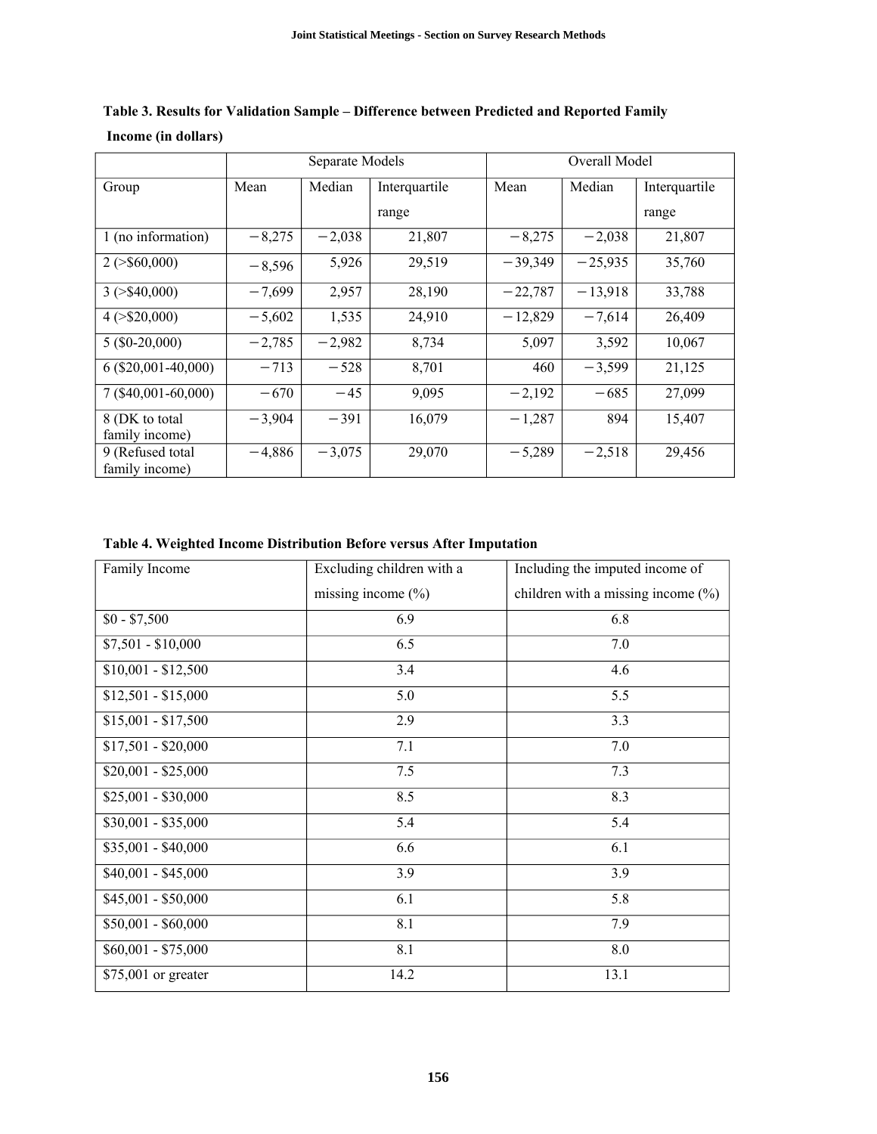|                                    | Separate Models |          | Overall Model |           |           |               |
|------------------------------------|-----------------|----------|---------------|-----------|-----------|---------------|
| Group                              | Mean            | Median   | Interquartile | Mean      | Median    | Interquartile |
|                                    |                 |          | range         |           |           | range         |
| 1 (no information)                 | $-8,275$        | $-2,038$ | 21,807        | $-8,275$  | $-2,038$  | 21,807        |
| $2$ ( $>$ \$60,000)                | $-8,596$        | 5,926    | 29,519        | $-39,349$ | $-25,935$ | 35,760        |
| $3$ ( $>$ \$40,000)                | $-7,699$        | 2,957    | 28,190        | $-22,787$ | $-13,918$ | 33,788        |
| $4$ ( $>$ \$20,000)                | $-5,602$        | 1,535    | 24,910        | $-12,829$ | $-7,614$  | 26,409        |
| $5($ \$0-20,000)                   | $-2,785$        | $-2,982$ | 8,734         | 5,097     | 3,592     | 10,067        |
| $6($ \$20,001-40,000)              | $-713$          | $-528$   | 8,701         | 460       | $-3,599$  | 21,125        |
| 7 (\$40,001-60,000)                | $-670$          | $-45$    | 9,095         | $-2,192$  | $-685$    | 27,099        |
| 8 (DK to total<br>family income)   | $-3,904$        | $-391$   | 16,079        | $-1,287$  | 894       | 15,407        |
| 9 (Refused total<br>family income) | $-4,886$        | $-3,075$ | 29,070        | $-5,289$  | $-2,518$  | 29,456        |

|                     | Table 3. Results for Validation Sample – Difference between Predicted and Reported Family |  |  |
|---------------------|-------------------------------------------------------------------------------------------|--|--|
| Income (in dollars) |                                                                                           |  |  |

**Table 4. Weighted Income Distribution Before versus After Imputation** 

| Family Income       | Excluding children with a | Including the imputed income of       |
|---------------------|---------------------------|---------------------------------------|
|                     | missing income $(\% )$    | children with a missing income $(\%)$ |
| $$0 - $7,500$       | 6.9                       | 6.8                                   |
| $$7,501 - $10,000$  | 6.5                       | 7.0                                   |
| $$10,001 - $12,500$ | 3.4                       | 4.6                                   |
| $$12,501 - $15,000$ | 5.0                       | 5.5                                   |
| $$15,001 - $17,500$ | 2.9                       | 3.3                                   |
| $$17,501 - $20,000$ | 7.1                       | $7.0\,$                               |
| $$20,001 - $25,000$ | 7.5                       | 7.3                                   |
| $$25,001 - $30,000$ | 8.5                       | 8.3                                   |
| $$30,001 - $35,000$ | 5.4                       | 5.4                                   |
| $$35,001 - $40,000$ | 6.6                       | 6.1                                   |
| $$40,001 - $45,000$ | 3.9                       | 3.9                                   |
| \$45,001 - \$50,000 | 6.1                       | 5.8                                   |
| $$50,001 - $60,000$ | 8.1                       | 7.9                                   |
| $$60,001 - $75,000$ | 8.1                       | 8.0                                   |
| \$75,001 or greater | 14.2                      | 13.1                                  |